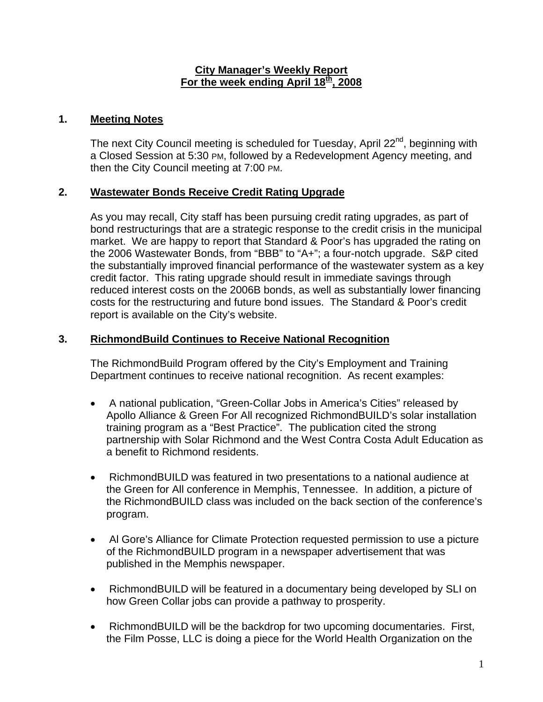#### **City Manager's Weekly Report** For the week ending April 18<sup>th</sup>, 2008

# **1. Meeting Notes**

The next City Council meeting is scheduled for Tuesday, April 22<sup>nd</sup>, beginning with a Closed Session at 5:30 PM, followed by a Redevelopment Agency meeting, and then the City Council meeting at 7:00 PM.

### **2. Wastewater Bonds Receive Credit Rating Upgrade**

As you may recall, City staff has been pursuing credit rating upgrades, as part of bond restructurings that are a strategic response to the credit crisis in the municipal market. We are happy to report that Standard & Poor's has upgraded the rating on the 2006 Wastewater Bonds, from "BBB" to "A+"; a four-notch upgrade. S&P cited the substantially improved financial performance of the wastewater system as a key credit factor. This rating upgrade should result in immediate savings through reduced interest costs on the 2006B bonds, as well as substantially lower financing costs for the restructuring and future bond issues. The Standard & Poor's credit report is available on the City's website.

### **3. RichmondBuild Continues to Receive National Recognition**

The RichmondBuild Program offered by the City's Employment and Training Department continues to receive national recognition. As recent examples:

- A national publication, "Green-Collar Jobs in America's Cities" released by Apollo Alliance & Green For All recognized RichmondBUILD's solar installation training program as a "Best Practice". The publication cited the strong partnership with Solar Richmond and the West Contra Costa Adult Education as a benefit to Richmond residents.
- RichmondBUILD was featured in two presentations to a national audience at the Green for All conference in Memphis, Tennessee. In addition, a picture of the RichmondBUILD class was included on the back section of the conference's program.
- Al Gore's Alliance for Climate Protection requested permission to use a picture of the RichmondBUILD program in a newspaper advertisement that was published in the Memphis newspaper.
- RichmondBUILD will be featured in a documentary being developed by SLI on how Green Collar jobs can provide a pathway to prosperity.
- RichmondBUILD will be the backdrop for two upcoming documentaries. First, the Film Posse, LLC is doing a piece for the World Health Organization on the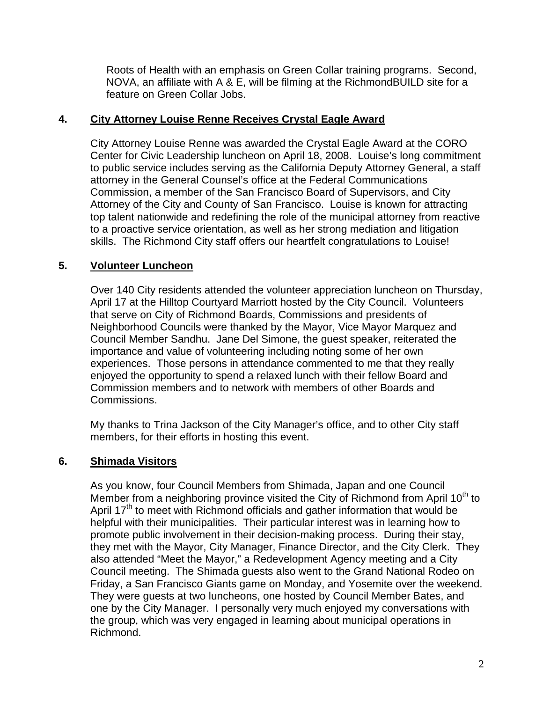Roots of Health with an emphasis on Green Collar training programs. Second, NOVA, an affiliate with A & E, will be filming at the RichmondBUILD site for a feature on Green Collar Jobs.

### **4. City Attorney Louise Renne Receives Crystal Eagle Award**

City Attorney Louise Renne was awarded the Crystal Eagle Award at the CORO Center for Civic Leadership luncheon on April 18, 2008. Louise's long commitment to public service includes serving as the California Deputy Attorney General, a staff attorney in the General Counsel's office at the Federal Communications Commission, a member of the San Francisco Board of Supervisors, and City Attorney of the City and County of San Francisco. Louise is known for attracting top talent nationwide and redefining the role of the municipal attorney from reactive to a proactive service orientation, as well as her strong mediation and litigation skills. The Richmond City staff offers our heartfelt congratulations to Louise!

# **5. Volunteer Luncheon**

Over 140 City residents attended the volunteer appreciation luncheon on Thursday, April 17 at the Hilltop Courtyard Marriott hosted by the City Council. Volunteers that serve on City of Richmond Boards, Commissions and presidents of Neighborhood Councils were thanked by the Mayor, Vice Mayor Marquez and Council Member Sandhu. Jane Del Simone, the guest speaker, reiterated the importance and value of volunteering including noting some of her own experiences. Those persons in attendance commented to me that they really enjoyed the opportunity to spend a relaxed lunch with their fellow Board and Commission members and to network with members of other Boards and Commissions.

My thanks to Trina Jackson of the City Manager's office, and to other City staff members, for their efforts in hosting this event.

# **6. Shimada Visitors**

As you know, four Council Members from Shimada, Japan and one Council Member from a neighboring province visited the City of Richmond from April 10<sup>th</sup> to April 17<sup>th</sup> to meet with Richmond officials and gather information that would be helpful with their municipalities. Their particular interest was in learning how to promote public involvement in their decision-making process. During their stay, they met with the Mayor, City Manager, Finance Director, and the City Clerk. They also attended "Meet the Mayor," a Redevelopment Agency meeting and a City Council meeting. The Shimada guests also went to the Grand National Rodeo on Friday, a San Francisco Giants game on Monday, and Yosemite over the weekend. They were guests at two luncheons, one hosted by Council Member Bates, and one by the City Manager. I personally very much enjoyed my conversations with the group, which was very engaged in learning about municipal operations in Richmond.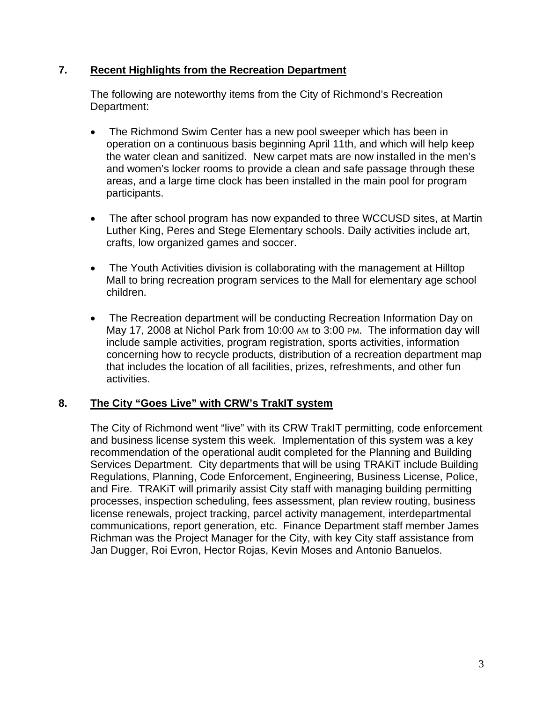### **7. Recent Highlights from the Recreation Department**

The following are noteworthy items from the City of Richmond's Recreation Department:

- The Richmond Swim Center has a new pool sweeper which has been in operation on a continuous basis beginning April 11th, and which will help keep the water clean and sanitized. New carpet mats are now installed in the men's and women's locker rooms to provide a clean and safe passage through these areas, and a large time clock has been installed in the main pool for program participants.
- The after school program has now expanded to three WCCUSD sites, at Martin Luther King, Peres and Stege Elementary schools. Daily activities include art, crafts, low organized games and soccer.
- The Youth Activities division is collaborating with the management at Hilltop Mall to bring recreation program services to the Mall for elementary age school children.
- The Recreation department will be conducting Recreation Information Day on May 17, 2008 at Nichol Park from 10:00 AM to 3:00 PM. The information day will include sample activities, program registration, sports activities, information concerning how to recycle products, distribution of a recreation department map that includes the location of all facilities, prizes, refreshments, and other fun activities.

# **8. The City "Goes Live" with CRW's TrakIT system**

The City of Richmond went "live" with its CRW TrakIT permitting, code enforcement and business license system this week. Implementation of this system was a key recommendation of the operational audit completed for the Planning and Building Services Department. City departments that will be using TRAKiT include Building Regulations, Planning, Code Enforcement, Engineering, Business License, Police, and Fire. TRAKiT will primarily assist City staff with managing building permitting processes, inspection scheduling, fees assessment, plan review routing, business license renewals, project tracking, parcel activity management, interdepartmental communications, report generation, etc. Finance Department staff member James Richman was the Project Manager for the City, with key City staff assistance from Jan Dugger, Roi Evron, Hector Rojas, Kevin Moses and Antonio Banuelos.